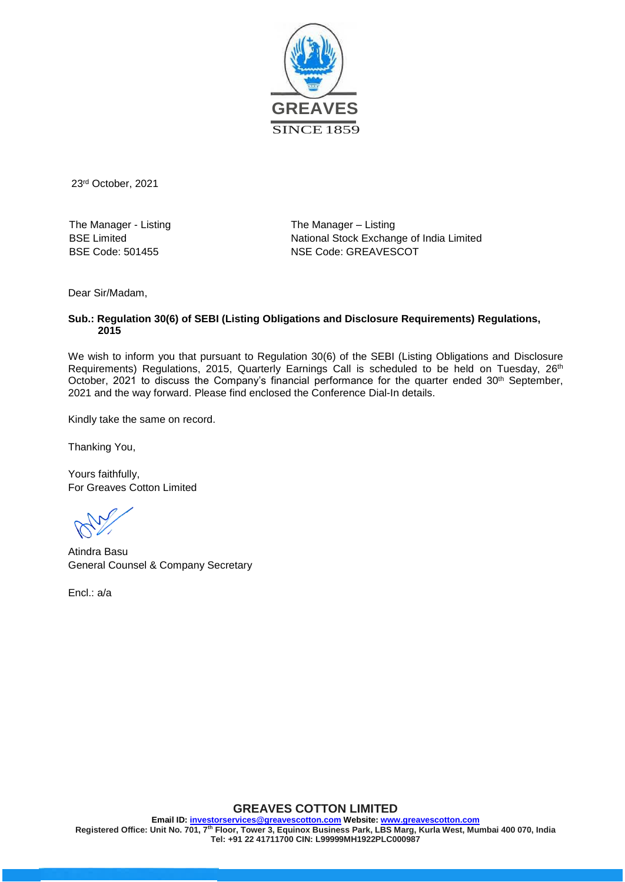

23 rd October, 2021

The Manager - Listing BSE Limited BSE Code: 501455

The Manager – Listing National Stock Exchange of India Limited NSE Code: GREAVESCOT

Dear Sir/Madam,

#### **Sub.: Regulation 30(6) of SEBI (Listing Obligations and Disclosure Requirements) Regulations, 2015**

We wish to inform you that pursuant to Regulation 30(6) of the SEBI (Listing Obligations and Disclosure Requirements) Regulations, 2015, Quarterly Earnings Call is scheduled to be held on Tuesday, 26<sup>th</sup> October, 2021 to discuss the Company's financial performance for the quarter ended  $30^{\text{th}}$  September, 2021 and the way forward. Please find enclosed the Conference Dial-In details.

Kindly take the same on record.

Thanking You,

Yours faithfully, For Greaves Cotton Limited

Atindra Basu General Counsel & Company Secretary

Encl.: a/a

### **GREAVES COTTON LIMITED**

**Email ID: investorservices@greavescotton.com Website: www.greavescotton.com Registered Office: Unit No. 701, 7th Floor, Tower 3, Equinox Business Park, LBS Marg, Kurla West, Mumbai 400 070, India Tel: +91 22 41711700 CIN: L99999MH1922PLC000987**